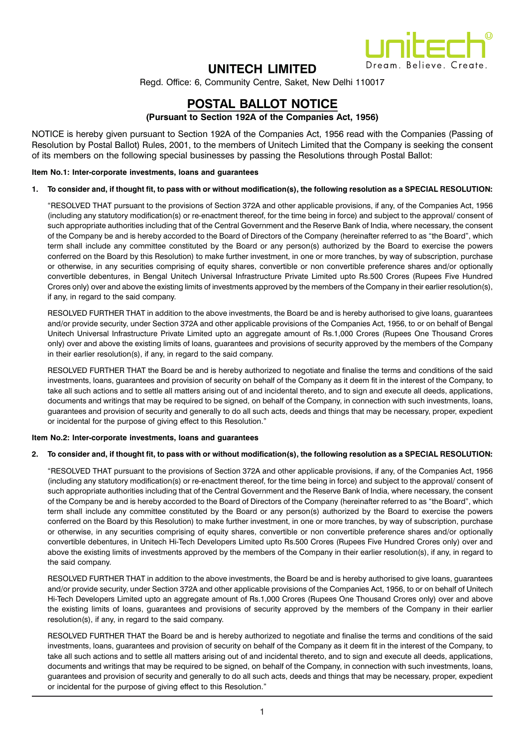

# UNITECH LIMITED

Regd. Office: 6, Community Centre, Saket, New Delhi 110017

# POSTAL BALLOT NOTICE

## (Pursuant to Section 192A of the Companies Act, 1956)

NOTICE is hereby given pursuant to Section 192A of the Companies Act, 1956 read with the Companies (Passing of Resolution by Postal Ballot) Rules, 2001, to the members of Unitech Limited that the Company is seeking the consent of its members on the following special businesses by passing the Resolutions through Postal Ballot:

## Item No.1: Inter-corporate investments, loans and guarantees

## 1. To consider and, if thought fit, to pass with or without modification(s), the following resolution as a SPECIAL RESOLUTION:

"RESOLVED THAT pursuant to the provisions of Section 372A and other applicable provisions, if any, of the Companies Act, 1956 (including any statutory modification(s) or re-enactment thereof, for the time being in force) and subject to the approval/ consent of such appropriate authorities including that of the Central Government and the Reserve Bank of India, where necessary, the consent of the Company be and is hereby accorded to the Board of Directors of the Company (hereinafter referred to as "the Board", which term shall include any committee constituted by the Board or any person(s) authorized by the Board to exercise the powers conferred on the Board by this Resolution) to make further investment, in one or more tranches, by way of subscription, purchase or otherwise, in any securities comprising of equity shares, convertible or non convertible preference shares and/or optionally convertible debentures, in Bengal Unitech Universal Infrastructure Private Limited upto Rs.500 Crores (Rupees Five Hundred Crores only) over and above the existing limits of investments approved by the members of the Company in their earlier resolution(s), if any, in regard to the said company.

RESOLVED FURTHER THAT in addition to the above investments, the Board be and is hereby authorised to give loans, guarantees and/or provide security, under Section 372A and other applicable provisions of the Companies Act, 1956, to or on behalf of Bengal Unitech Universal Infrastructure Private Limited upto an aggregate amount of Rs.1,000 Crores (Rupees One Thousand Crores only) over and above the existing limits of loans, guarantees and provisions of security approved by the members of the Company in their earlier resolution(s), if any, in regard to the said company.

RESOLVED FURTHER THAT the Board be and is hereby authorized to negotiate and finalise the terms and conditions of the said investments, loans, guarantees and provision of security on behalf of the Company as it deem fit in the interest of the Company, to take all such actions and to settle all matters arising out of and incidental thereto, and to sign and execute all deeds, applications, documents and writings that may be required to be signed, on behalf of the Company, in connection with such investments, loans, guarantees and provision of security and generally to do all such acts, deeds and things that may be necessary, proper, expedient or incidental for the purpose of giving effect to this Resolution."

## Item No.2: Inter-corporate investments, loans and guarantees

## 2. To consider and, if thought fit, to pass with or without modification(s), the following resolution as a SPECIAL RESOLUTION:

"RESOLVED THAT pursuant to the provisions of Section 372A and other applicable provisions, if any, of the Companies Act, 1956 (including any statutory modification(s) or re-enactment thereof, for the time being in force) and subject to the approval/ consent of such appropriate authorities including that of the Central Government and the Reserve Bank of India, where necessary, the consent of the Company be and is hereby accorded to the Board of Directors of the Company (hereinafter referred to as "the Board", which term shall include any committee constituted by the Board or any person(s) authorized by the Board to exercise the powers conferred on the Board by this Resolution) to make further investment, in one or more tranches, by way of subscription, purchase or otherwise, in any securities comprising of equity shares, convertible or non convertible preference shares and/or optionally convertible debentures, in Unitech Hi-Tech Developers Limited upto Rs.500 Crores (Rupees Five Hundred Crores only) over and above the existing limits of investments approved by the members of the Company in their earlier resolution(s), if any, in regard to the said company.

RESOLVED FURTHER THAT in addition to the above investments, the Board be and is hereby authorised to give loans, guarantees and/or provide security, under Section 372A and other applicable provisions of the Companies Act, 1956, to or on behalf of Unitech Hi-Tech Developers Limited upto an aggregate amount of Rs.1,000 Crores (Rupees One Thousand Crores only) over and above the existing limits of loans, guarantees and provisions of security approved by the members of the Company in their earlier resolution(s), if any, in regard to the said company.

RESOLVED FURTHER THAT the Board be and is hereby authorized to negotiate and finalise the terms and conditions of the said investments, loans, guarantees and provision of security on behalf of the Company as it deem fit in the interest of the Company, to take all such actions and to settle all matters arising out of and incidental thereto, and to sign and execute all deeds, applications, documents and writings that may be required to be signed, on behalf of the Company, in connection with such investments, loans, guarantees and provision of security and generally to do all such acts, deeds and things that may be necessary, proper, expedient or incidental for the purpose of giving effect to this Resolution."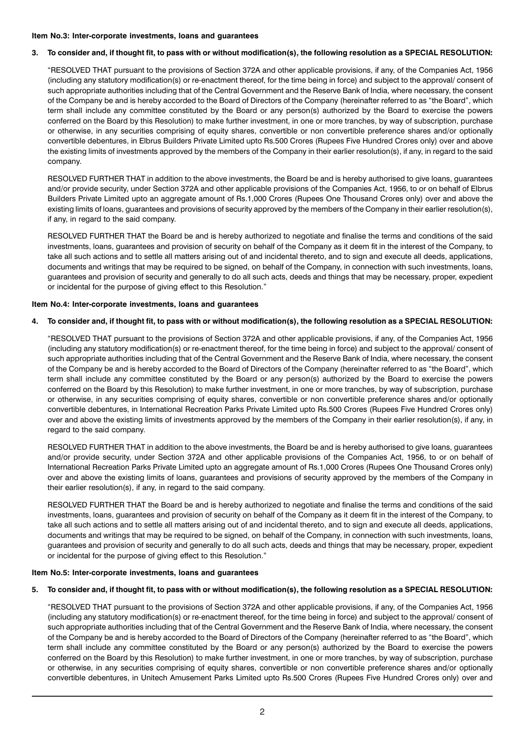#### Item No.3: Inter-corporate investments, loans and guarantees

## 3. To consider and, if thought fit, to pass with or without modification(s), the following resolution as a SPECIAL RESOLUTION:

"RESOLVED THAT pursuant to the provisions of Section 372A and other applicable provisions, if any, of the Companies Act, 1956 (including any statutory modification(s) or re-enactment thereof, for the time being in force) and subject to the approval/ consent of such appropriate authorities including that of the Central Government and the Reserve Bank of India, where necessary, the consent of the Company be and is hereby accorded to the Board of Directors of the Company (hereinafter referred to as "the Board", which term shall include any committee constituted by the Board or any person(s) authorized by the Board to exercise the powers conferred on the Board by this Resolution) to make further investment, in one or more tranches, by way of subscription, purchase or otherwise, in any securities comprising of equity shares, convertible or non convertible preference shares and/or optionally convertible debentures, in Elbrus Builders Private Limited upto Rs.500 Crores (Rupees Five Hundred Crores only) over and above the existing limits of investments approved by the members of the Company in their earlier resolution(s), if any, in regard to the said company.

RESOLVED FURTHER THAT in addition to the above investments, the Board be and is hereby authorised to give loans, guarantees and/or provide security, under Section 372A and other applicable provisions of the Companies Act, 1956, to or on behalf of Elbrus Builders Private Limited upto an aggregate amount of Rs.1,000 Crores (Rupees One Thousand Crores only) over and above the existing limits of loans, guarantees and provisions of security approved by the members of the Company in their earlier resolution(s), if any, in regard to the said company.

RESOLVED FURTHER THAT the Board be and is hereby authorized to negotiate and finalise the terms and conditions of the said investments, loans, guarantees and provision of security on behalf of the Company as it deem fit in the interest of the Company, to take all such actions and to settle all matters arising out of and incidental thereto, and to sign and execute all deeds, applications, documents and writings that may be required to be signed, on behalf of the Company, in connection with such investments, loans, guarantees and provision of security and generally to do all such acts, deeds and things that may be necessary, proper, expedient or incidental for the purpose of giving effect to this Resolution."

## Item No.4: Inter-corporate investments, loans and guarantees

## 4. To consider and, if thought fit, to pass with or without modification(s), the following resolution as a SPECIAL RESOLUTION:

"RESOLVED THAT pursuant to the provisions of Section 372A and other applicable provisions, if any, of the Companies Act, 1956 (including any statutory modification(s) or re-enactment thereof, for the time being in force) and subject to the approval/ consent of such appropriate authorities including that of the Central Government and the Reserve Bank of India, where necessary, the consent of the Company be and is hereby accorded to the Board of Directors of the Company (hereinafter referred to as "the Board", which term shall include any committee constituted by the Board or any person(s) authorized by the Board to exercise the powers conferred on the Board by this Resolution) to make further investment, in one or more tranches, by way of subscription, purchase or otherwise, in any securities comprising of equity shares, convertible or non convertible preference shares and/or optionally convertible debentures, in International Recreation Parks Private Limited upto Rs.500 Crores (Rupees Five Hundred Crores only) over and above the existing limits of investments approved by the members of the Company in their earlier resolution(s), if any, in regard to the said company.

RESOLVED FURTHER THAT in addition to the above investments, the Board be and is hereby authorised to give loans, guarantees and/or provide security, under Section 372A and other applicable provisions of the Companies Act, 1956, to or on behalf of International Recreation Parks Private Limited upto an aggregate amount of Rs.1,000 Crores (Rupees One Thousand Crores only) over and above the existing limits of loans, guarantees and provisions of security approved by the members of the Company in their earlier resolution(s), if any, in regard to the said company.

RESOLVED FURTHER THAT the Board be and is hereby authorized to negotiate and finalise the terms and conditions of the said investments, loans, guarantees and provision of security on behalf of the Company as it deem fit in the interest of the Company, to take all such actions and to settle all matters arising out of and incidental thereto, and to sign and execute all deeds, applications, documents and writings that may be required to be signed, on behalf of the Company, in connection with such investments, loans, guarantees and provision of security and generally to do all such acts, deeds and things that may be necessary, proper, expedient or incidental for the purpose of giving effect to this Resolution."

## Item No.5: Inter-corporate investments, loans and guarantees

## 5. To consider and, if thought fit, to pass with or without modification(s), the following resolution as a SPECIAL RESOLUTION:

"RESOLVED THAT pursuant to the provisions of Section 372A and other applicable provisions, if any, of the Companies Act, 1956 (including any statutory modification(s) or re-enactment thereof, for the time being in force) and subject to the approval/ consent of such appropriate authorities including that of the Central Government and the Reserve Bank of India, where necessary, the consent of the Company be and is hereby accorded to the Board of Directors of the Company (hereinafter referred to as "the Board", which term shall include any committee constituted by the Board or any person(s) authorized by the Board to exercise the powers conferred on the Board by this Resolution) to make further investment, in one or more tranches, by way of subscription, purchase or otherwise, in any securities comprising of equity shares, convertible or non convertible preference shares and/or optionally convertible debentures, in Unitech Amusement Parks Limited upto Rs.500 Crores (Rupees Five Hundred Crores only) over and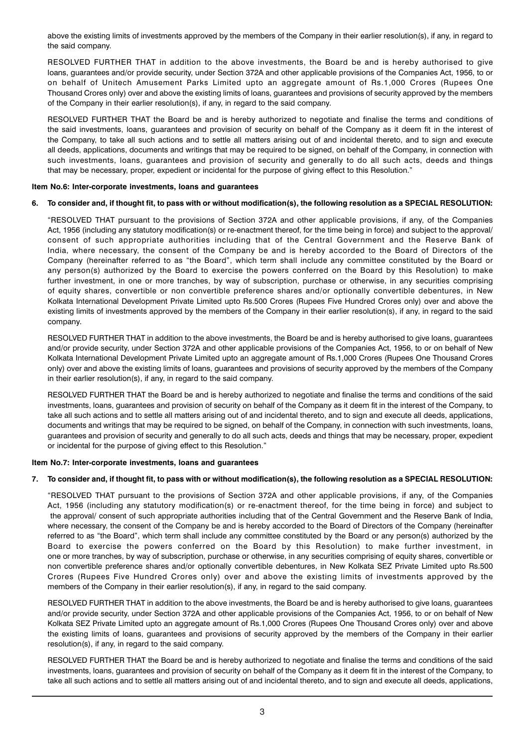above the existing limits of investments approved by the members of the Company in their earlier resolution(s), if any, in regard to the said company.

RESOLVED FURTHER THAT in addition to the above investments, the Board be and is hereby authorised to give loans, guarantees and/or provide security, under Section 372A and other applicable provisions of the Companies Act, 1956, to or on behalf of Unitech Amusement Parks Limited upto an aggregate amount of Rs.1,000 Crores (Rupees One Thousand Crores only) over and above the existing limits of loans, guarantees and provisions of security approved by the members of the Company in their earlier resolution(s), if any, in regard to the said company.

RESOLVED FURTHER THAT the Board be and is hereby authorized to negotiate and finalise the terms and conditions of the said investments, loans, guarantees and provision of security on behalf of the Company as it deem fit in the interest of the Company, to take all such actions and to settle all matters arising out of and incidental thereto, and to sign and execute all deeds, applications, documents and writings that may be required to be signed, on behalf of the Company, in connection with such investments, loans, guarantees and provision of security and generally to do all such acts, deeds and things that may be necessary, proper, expedient or incidental for the purpose of giving effect to this Resolution."

## Item No.6: Inter-corporate investments, loans and guarantees

## 6. To consider and, if thought fit, to pass with or without modification(s), the following resolution as a SPECIAL RESOLUTION:

"RESOLVED THAT pursuant to the provisions of Section 372A and other applicable provisions, if any, of the Companies Act, 1956 (including any statutory modification(s) or re-enactment thereof, for the time being in force) and subject to the approval/ consent of such appropriate authorities including that of the Central Government and the Reserve Bank of India, where necessary, the consent of the Company be and is hereby accorded to the Board of Directors of the Company (hereinafter referred to as "the Board", which term shall include any committee constituted by the Board or any person(s) authorized by the Board to exercise the powers conferred on the Board by this Resolution) to make further investment, in one or more tranches, by way of subscription, purchase or otherwise, in any securities comprising of equity shares, convertible or non convertible preference shares and/or optionally convertible debentures, in New Kolkata International Development Private Limited upto Rs.500 Crores (Rupees Five Hundred Crores only) over and above the existing limits of investments approved by the members of the Company in their earlier resolution(s), if any, in regard to the said company.

RESOLVED FURTHER THAT in addition to the above investments, the Board be and is hereby authorised to give loans, guarantees and/or provide security, under Section 372A and other applicable provisions of the Companies Act, 1956, to or on behalf of New Kolkata International Development Private Limited upto an aggregate amount of Rs.1,000 Crores (Rupees One Thousand Crores only) over and above the existing limits of loans, guarantees and provisions of security approved by the members of the Company in their earlier resolution(s), if any, in regard to the said company.

RESOLVED FURTHER THAT the Board be and is hereby authorized to negotiate and finalise the terms and conditions of the said investments, loans, guarantees and provision of security on behalf of the Company as it deem fit in the interest of the Company, to take all such actions and to settle all matters arising out of and incidental thereto, and to sign and execute all deeds, applications, documents and writings that may be required to be signed, on behalf of the Company, in connection with such investments, loans, guarantees and provision of security and generally to do all such acts, deeds and things that may be necessary, proper, expedient or incidental for the purpose of giving effect to this Resolution."

## Item No.7: Inter-corporate investments, loans and guarantees

## 7. To consider and, if thought fit, to pass with or without modification(s), the following resolution as a SPECIAL RESOLUTION:

"RESOLVED THAT pursuant to the provisions of Section 372A and other applicable provisions, if any, of the Companies Act, 1956 (including any statutory modification(s) or re-enactment thereof, for the time being in force) and subject to the approval/ consent of such appropriate authorities including that of the Central Government and the Reserve Bank of India, where necessary, the consent of the Company be and is hereby accorded to the Board of Directors of the Company (hereinafter referred to as "the Board", which term shall include any committee constituted by the Board or any person(s) authorized by the Board to exercise the powers conferred on the Board by this Resolution) to make further investment, in one or more tranches, by way of subscription, purchase or otherwise, in any securities comprising of equity shares, convertible or non convertible preference shares and/or optionally convertible debentures, in New Kolkata SEZ Private Limited upto Rs.500 Crores (Rupees Five Hundred Crores only) over and above the existing limits of investments approved by the members of the Company in their earlier resolution(s), if any, in regard to the said company.

RESOLVED FURTHER THAT in addition to the above investments, the Board be and is hereby authorised to give loans, guarantees and/or provide security, under Section 372A and other applicable provisions of the Companies Act, 1956, to or on behalf of New Kolkata SEZ Private Limited upto an aggregate amount of Rs.1,000 Crores (Rupees One Thousand Crores only) over and above the existing limits of loans, guarantees and provisions of security approved by the members of the Company in their earlier resolution(s), if any, in regard to the said company.

RESOLVED FURTHER THAT the Board be and is hereby authorized to negotiate and finalise the terms and conditions of the said investments, loans, guarantees and provision of security on behalf of the Company as it deem fit in the interest of the Company, to take all such actions and to settle all matters arising out of and incidental thereto, and to sign and execute all deeds, applications,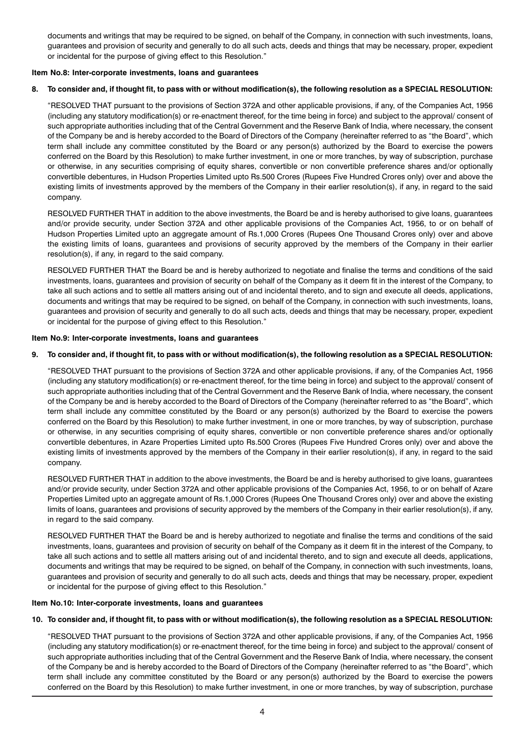documents and writings that may be required to be signed, on behalf of the Company, in connection with such investments, loans, guarantees and provision of security and generally to do all such acts, deeds and things that may be necessary, proper, expedient or incidental for the purpose of giving effect to this Resolution."

## Item No.8: Inter-corporate investments, loans and guarantees

## 8. To consider and, if thought fit, to pass with or without modification(s), the following resolution as a SPECIAL RESOLUTION:

"RESOLVED THAT pursuant to the provisions of Section 372A and other applicable provisions, if any, of the Companies Act, 1956 (including any statutory modification(s) or re-enactment thereof, for the time being in force) and subject to the approval/ consent of such appropriate authorities including that of the Central Government and the Reserve Bank of India, where necessary, the consent of the Company be and is hereby accorded to the Board of Directors of the Company (hereinafter referred to as "the Board", which term shall include any committee constituted by the Board or any person(s) authorized by the Board to exercise the powers conferred on the Board by this Resolution) to make further investment, in one or more tranches, by way of subscription, purchase or otherwise, in any securities comprising of equity shares, convertible or non convertible preference shares and/or optionally convertible debentures, in Hudson Properties Limited upto Rs.500 Crores (Rupees Five Hundred Crores only) over and above the existing limits of investments approved by the members of the Company in their earlier resolution(s), if any, in regard to the said company.

RESOLVED FURTHER THAT in addition to the above investments, the Board be and is hereby authorised to give loans, guarantees and/or provide security, under Section 372A and other applicable provisions of the Companies Act, 1956, to or on behalf of Hudson Properties Limited upto an aggregate amount of Rs.1,000 Crores (Rupees One Thousand Crores only) over and above the existing limits of loans, guarantees and provisions of security approved by the members of the Company in their earlier resolution(s), if any, in regard to the said company.

RESOLVED FURTHER THAT the Board be and is hereby authorized to negotiate and finalise the terms and conditions of the said investments, loans, guarantees and provision of security on behalf of the Company as it deem fit in the interest of the Company, to take all such actions and to settle all matters arising out of and incidental thereto, and to sign and execute all deeds, applications, documents and writings that may be required to be signed, on behalf of the Company, in connection with such investments, loans, guarantees and provision of security and generally to do all such acts, deeds and things that may be necessary, proper, expedient or incidental for the purpose of giving effect to this Resolution."

## Item No.9: Inter-corporate investments, loans and guarantees

## 9. To consider and, if thought fit, to pass with or without modification(s), the following resolution as a SPECIAL RESOLUTION:

"RESOLVED THAT pursuant to the provisions of Section 372A and other applicable provisions, if any, of the Companies Act, 1956 (including any statutory modification(s) or re-enactment thereof, for the time being in force) and subject to the approval/ consent of such appropriate authorities including that of the Central Government and the Reserve Bank of India, where necessary, the consent of the Company be and is hereby accorded to the Board of Directors of the Company (hereinafter referred to as "the Board", which term shall include any committee constituted by the Board or any person(s) authorized by the Board to exercise the powers conferred on the Board by this Resolution) to make further investment, in one or more tranches, by way of subscription, purchase or otherwise, in any securities comprising of equity shares, convertible or non convertible preference shares and/or optionally convertible debentures, in Azare Properties Limited upto Rs.500 Crores (Rupees Five Hundred Crores only) over and above the existing limits of investments approved by the members of the Company in their earlier resolution(s), if any, in regard to the said company.

RESOLVED FURTHER THAT in addition to the above investments, the Board be and is hereby authorised to give loans, guarantees and/or provide security, under Section 372A and other applicable provisions of the Companies Act, 1956, to or on behalf of Azare Properties Limited upto an aggregate amount of Rs.1,000 Crores (Rupees One Thousand Crores only) over and above the existing limits of loans, guarantees and provisions of security approved by the members of the Company in their earlier resolution(s), if any, in regard to the said company.

RESOLVED FURTHER THAT the Board be and is hereby authorized to negotiate and finalise the terms and conditions of the said investments, loans, guarantees and provision of security on behalf of the Company as it deem fit in the interest of the Company, to take all such actions and to settle all matters arising out of and incidental thereto, and to sign and execute all deeds, applications, documents and writings that may be required to be signed, on behalf of the Company, in connection with such investments, loans, guarantees and provision of security and generally to do all such acts, deeds and things that may be necessary, proper, expedient or incidental for the purpose of giving effect to this Resolution."

## Item No.10: Inter-corporate investments, loans and guarantees

## 10. To consider and, if thought fit, to pass with or without modification(s), the following resolution as a SPECIAL RESOLUTION:

"RESOLVED THAT pursuant to the provisions of Section 372A and other applicable provisions, if any, of the Companies Act, 1956 (including any statutory modification(s) or re-enactment thereof, for the time being in force) and subject to the approval/ consent of such appropriate authorities including that of the Central Government and the Reserve Bank of India, where necessary, the consent of the Company be and is hereby accorded to the Board of Directors of the Company (hereinafter referred to as "the Board", which term shall include any committee constituted by the Board or any person(s) authorized by the Board to exercise the powers conferred on the Board by this Resolution) to make further investment, in one or more tranches, by way of subscription, purchase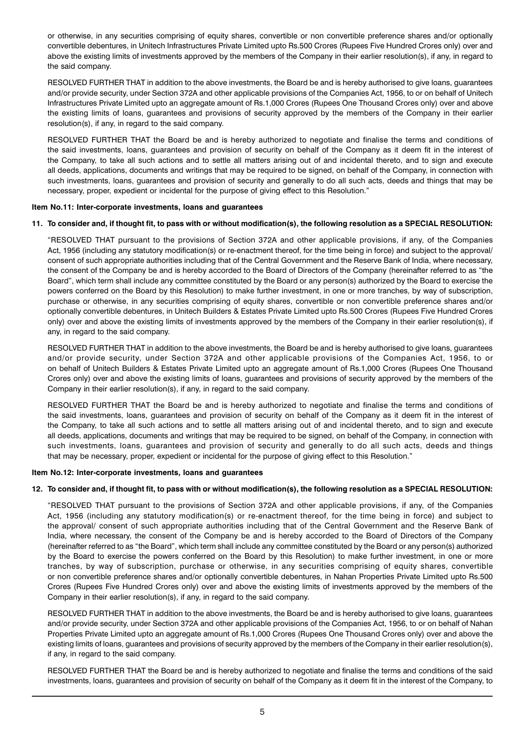or otherwise, in any securities comprising of equity shares, convertible or non convertible preference shares and/or optionally convertible debentures, in Unitech Infrastructures Private Limited upto Rs.500 Crores (Rupees Five Hundred Crores only) over and above the existing limits of investments approved by the members of the Company in their earlier resolution(s), if any, in regard to the said company.

RESOLVED FURTHER THAT in addition to the above investments, the Board be and is hereby authorised to give loans, guarantees and/or provide security, under Section 372A and other applicable provisions of the Companies Act, 1956, to or on behalf of Unitech Infrastructures Private Limited upto an aggregate amount of Rs.1,000 Crores (Rupees One Thousand Crores only) over and above the existing limits of loans, guarantees and provisions of security approved by the members of the Company in their earlier resolution(s), if any, in regard to the said company.

RESOLVED FURTHER THAT the Board be and is hereby authorized to negotiate and finalise the terms and conditions of the said investments, loans, guarantees and provision of security on behalf of the Company as it deem fit in the interest of the Company, to take all such actions and to settle all matters arising out of and incidental thereto, and to sign and execute all deeds, applications, documents and writings that may be required to be signed, on behalf of the Company, in connection with such investments, loans, guarantees and provision of security and generally to do all such acts, deeds and things that may be necessary, proper, expedient or incidental for the purpose of giving effect to this Resolution."

## Item No.11: Inter-corporate investments, loans and guarantees

## 11. To consider and, if thought fit, to pass with or without modification(s), the following resolution as a SPECIAL RESOLUTION:

"RESOLVED THAT pursuant to the provisions of Section 372A and other applicable provisions, if any, of the Companies Act, 1956 (including any statutory modification(s) or re-enactment thereof, for the time being in force) and subject to the approval/ consent of such appropriate authorities including that of the Central Government and the Reserve Bank of India, where necessary, the consent of the Company be and is hereby accorded to the Board of Directors of the Company (hereinafter referred to as "the Board", which term shall include any committee constituted by the Board or any person(s) authorized by the Board to exercise the powers conferred on the Board by this Resolution) to make further investment, in one or more tranches, by way of subscription, purchase or otherwise, in any securities comprising of equity shares, convertible or non convertible preference shares and/or optionally convertible debentures, in Unitech Builders & Estates Private Limited upto Rs.500 Crores (Rupees Five Hundred Crores only) over and above the existing limits of investments approved by the members of the Company in their earlier resolution(s), if any, in regard to the said company.

RESOLVED FURTHER THAT in addition to the above investments, the Board be and is hereby authorised to give loans, guarantees and/or provide security, under Section 372A and other applicable provisions of the Companies Act, 1956, to or on behalf of Unitech Builders & Estates Private Limited upto an aggregate amount of Rs.1,000 Crores (Rupees One Thousand Crores only) over and above the existing limits of loans, guarantees and provisions of security approved by the members of the Company in their earlier resolution(s), if any, in regard to the said company.

RESOLVED FURTHER THAT the Board be and is hereby authorized to negotiate and finalise the terms and conditions of the said investments, loans, guarantees and provision of security on behalf of the Company as it deem fit in the interest of the Company, to take all such actions and to settle all matters arising out of and incidental thereto, and to sign and execute all deeds, applications, documents and writings that may be required to be signed, on behalf of the Company, in connection with such investments, loans, guarantees and provision of security and generally to do all such acts, deeds and things that may be necessary, proper, expedient or incidental for the purpose of giving effect to this Resolution."

## Item No.12: Inter-corporate investments, loans and guarantees

## 12. To consider and, if thought fit, to pass with or without modification(s), the following resolution as a SPECIAL RESOLUTION:

"RESOLVED THAT pursuant to the provisions of Section 372A and other applicable provisions, if any, of the Companies Act, 1956 (including any statutory modification(s) or re-enactment thereof, for the time being in force) and subject to the approval/ consent of such appropriate authorities including that of the Central Government and the Reserve Bank of India, where necessary, the consent of the Company be and is hereby accorded to the Board of Directors of the Company (hereinafter referred to as "the Board", which term shall include any committee constituted by the Board or any person(s) authorized by the Board to exercise the powers conferred on the Board by this Resolution) to make further investment, in one or more tranches, by way of subscription, purchase or otherwise, in any securities comprising of equity shares, convertible or non convertible preference shares and/or optionally convertible debentures, in Nahan Properties Private Limited upto Rs.500 Crores (Rupees Five Hundred Crores only) over and above the existing limits of investments approved by the members of the Company in their earlier resolution(s), if any, in regard to the said company.

RESOLVED FURTHER THAT in addition to the above investments, the Board be and is hereby authorised to give loans, guarantees and/or provide security, under Section 372A and other applicable provisions of the Companies Act, 1956, to or on behalf of Nahan Properties Private Limited upto an aggregate amount of Rs.1,000 Crores (Rupees One Thousand Crores only) over and above the existing limits of loans, guarantees and provisions of security approved by the members of the Company in their earlier resolution(s), if any, in regard to the said company.

RESOLVED FURTHER THAT the Board be and is hereby authorized to negotiate and finalise the terms and conditions of the said investments, loans, guarantees and provision of security on behalf of the Company as it deem fit in the interest of the Company, to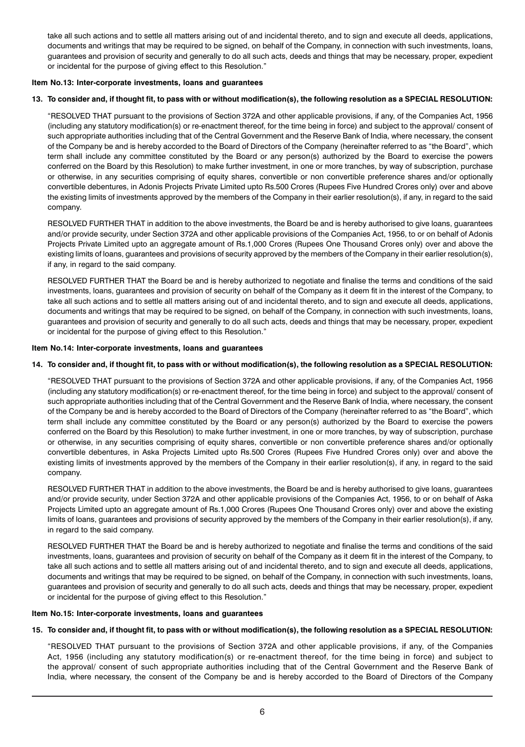take all such actions and to settle all matters arising out of and incidental thereto, and to sign and execute all deeds, applications, documents and writings that may be required to be signed, on behalf of the Company, in connection with such investments, loans, guarantees and provision of security and generally to do all such acts, deeds and things that may be necessary, proper, expedient or incidental for the purpose of giving effect to this Resolution."

## Item No.13: Inter-corporate investments, loans and guarantees

## 13. To consider and, if thought fit, to pass with or without modification(s), the following resolution as a SPECIAL RESOLUTION:

"RESOLVED THAT pursuant to the provisions of Section 372A and other applicable provisions, if any, of the Companies Act, 1956 (including any statutory modification(s) or re-enactment thereof, for the time being in force) and subject to the approval/ consent of such appropriate authorities including that of the Central Government and the Reserve Bank of India, where necessary, the consent of the Company be and is hereby accorded to the Board of Directors of the Company (hereinafter referred to as "the Board", which term shall include any committee constituted by the Board or any person(s) authorized by the Board to exercise the powers conferred on the Board by this Resolution) to make further investment, in one or more tranches, by way of subscription, purchase or otherwise, in any securities comprising of equity shares, convertible or non convertible preference shares and/or optionally convertible debentures, in Adonis Projects Private Limited upto Rs.500 Crores (Rupees Five Hundred Crores only) over and above the existing limits of investments approved by the members of the Company in their earlier resolution(s), if any, in regard to the said company.

RESOLVED FURTHER THAT in addition to the above investments, the Board be and is hereby authorised to give loans, guarantees and/or provide security, under Section 372A and other applicable provisions of the Companies Act, 1956, to or on behalf of Adonis Projects Private Limited upto an aggregate amount of Rs.1,000 Crores (Rupees One Thousand Crores only) over and above the existing limits of loans, guarantees and provisions of security approved by the members of the Company in their earlier resolution(s), if any, in regard to the said company.

RESOLVED FURTHER THAT the Board be and is hereby authorized to negotiate and finalise the terms and conditions of the said investments, loans, guarantees and provision of security on behalf of the Company as it deem fit in the interest of the Company, to take all such actions and to settle all matters arising out of and incidental thereto, and to sign and execute all deeds, applications, documents and writings that may be required to be signed, on behalf of the Company, in connection with such investments, loans, guarantees and provision of security and generally to do all such acts, deeds and things that may be necessary, proper, expedient or incidental for the purpose of giving effect to this Resolution."

## Item No.14: Inter-corporate investments, loans and guarantees

## 14. To consider and, if thought fit, to pass with or without modification(s), the following resolution as a SPECIAL RESOLUTION:

"RESOLVED THAT pursuant to the provisions of Section 372A and other applicable provisions, if any, of the Companies Act, 1956 (including any statutory modification(s) or re-enactment thereof, for the time being in force) and subject to the approval/ consent of such appropriate authorities including that of the Central Government and the Reserve Bank of India, where necessary, the consent of the Company be and is hereby accorded to the Board of Directors of the Company (hereinafter referred to as "the Board", which term shall include any committee constituted by the Board or any person(s) authorized by the Board to exercise the powers conferred on the Board by this Resolution) to make further investment, in one or more tranches, by way of subscription, purchase or otherwise, in any securities comprising of equity shares, convertible or non convertible preference shares and/or optionally convertible debentures, in Aska Projects Limited upto Rs.500 Crores (Rupees Five Hundred Crores only) over and above the existing limits of investments approved by the members of the Company in their earlier resolution(s), if any, in regard to the said company.

RESOLVED FURTHER THAT in addition to the above investments, the Board be and is hereby authorised to give loans, guarantees and/or provide security, under Section 372A and other applicable provisions of the Companies Act, 1956, to or on behalf of Aska Projects Limited upto an aggregate amount of Rs.1,000 Crores (Rupees One Thousand Crores only) over and above the existing limits of loans, guarantees and provisions of security approved by the members of the Company in their earlier resolution(s), if any, in regard to the said company.

RESOLVED FURTHER THAT the Board be and is hereby authorized to negotiate and finalise the terms and conditions of the said investments, loans, guarantees and provision of security on behalf of the Company as it deem fit in the interest of the Company, to take all such actions and to settle all matters arising out of and incidental thereto, and to sign and execute all deeds, applications, documents and writings that may be required to be signed, on behalf of the Company, in connection with such investments, loans, guarantees and provision of security and generally to do all such acts, deeds and things that may be necessary, proper, expedient or incidental for the purpose of giving effect to this Resolution."

#### Item No.15: Inter-corporate investments, loans and guarantees

## 15. To consider and, if thought fit, to pass with or without modification(s), the following resolution as a SPECIAL RESOLUTION:

"RESOLVED THAT pursuant to the provisions of Section 372A and other applicable provisions, if any, of the Companies Act, 1956 (including any statutory modification(s) or re-enactment thereof, for the time being in force) and subject to the approval/ consent of such appropriate authorities including that of the Central Government and the Reserve Bank of India, where necessary, the consent of the Company be and is hereby accorded to the Board of Directors of the Company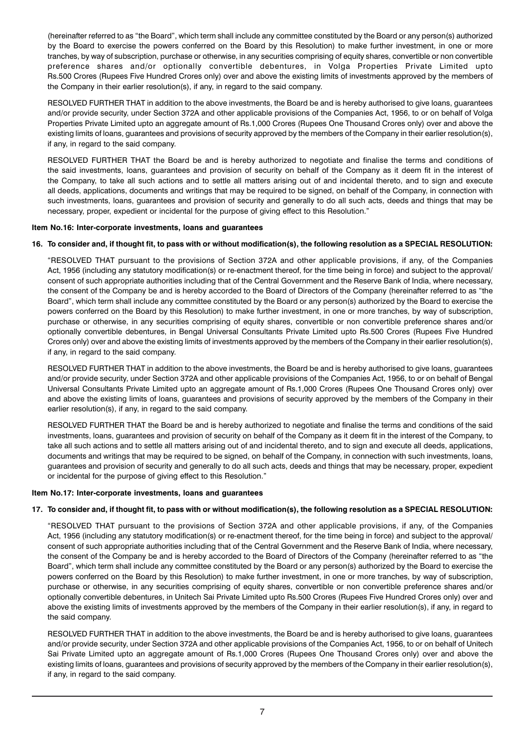(hereinafter referred to as "the Board", which term shall include any committee constituted by the Board or any person(s) authorized by the Board to exercise the powers conferred on the Board by this Resolution) to make further investment, in one or more tranches, by way of subscription, purchase or otherwise, in any securities comprising of equity shares, convertible or non convertible preference shares and/or optionally convertible debentures, in Volga Properties Private Limited upto Rs.500 Crores (Rupees Five Hundred Crores only) over and above the existing limits of investments approved by the members of the Company in their earlier resolution(s), if any, in regard to the said company.

RESOLVED FURTHER THAT in addition to the above investments, the Board be and is hereby authorised to give loans, guarantees and/or provide security, under Section 372A and other applicable provisions of the Companies Act, 1956, to or on behalf of Volga Properties Private Limited upto an aggregate amount of Rs.1,000 Crores (Rupees One Thousand Crores only) over and above the existing limits of loans, guarantees and provisions of security approved by the members of the Company in their earlier resolution(s), if any, in regard to the said company.

RESOLVED FURTHER THAT the Board be and is hereby authorized to negotiate and finalise the terms and conditions of the said investments, loans, guarantees and provision of security on behalf of the Company as it deem fit in the interest of the Company, to take all such actions and to settle all matters arising out of and incidental thereto, and to sign and execute all deeds, applications, documents and writings that may be required to be signed, on behalf of the Company, in connection with such investments, loans, guarantees and provision of security and generally to do all such acts, deeds and things that may be necessary, proper, expedient or incidental for the purpose of giving effect to this Resolution."

## Item No.16: Inter-corporate investments, loans and guarantees

## 16. To consider and, if thought fit, to pass with or without modification(s), the following resolution as a SPECIAL RESOLUTION:

"RESOLVED THAT pursuant to the provisions of Section 372A and other applicable provisions, if any, of the Companies Act, 1956 (including any statutory modification(s) or re-enactment thereof, for the time being in force) and subject to the approval/ consent of such appropriate authorities including that of the Central Government and the Reserve Bank of India, where necessary, the consent of the Company be and is hereby accorded to the Board of Directors of the Company (hereinafter referred to as "the Board", which term shall include any committee constituted by the Board or any person(s) authorized by the Board to exercise the powers conferred on the Board by this Resolution) to make further investment, in one or more tranches, by way of subscription, purchase or otherwise, in any securities comprising of equity shares, convertible or non convertible preference shares and/or optionally convertible debentures, in Bengal Universal Consultants Private Limited upto Rs.500 Crores (Rupees Five Hundred Crores only) over and above the existing limits of investments approved by the members of the Company in their earlier resolution(s), if any, in regard to the said company.

RESOLVED FURTHER THAT in addition to the above investments, the Board be and is hereby authorised to give loans, guarantees and/or provide security, under Section 372A and other applicable provisions of the Companies Act, 1956, to or on behalf of Bengal Universal Consultants Private Limited upto an aggregate amount of Rs.1,000 Crores (Rupees One Thousand Crores only) over and above the existing limits of loans, guarantees and provisions of security approved by the members of the Company in their earlier resolution(s), if any, in regard to the said company.

RESOLVED FURTHER THAT the Board be and is hereby authorized to negotiate and finalise the terms and conditions of the said investments, loans, guarantees and provision of security on behalf of the Company as it deem fit in the interest of the Company, to take all such actions and to settle all matters arising out of and incidental thereto, and to sign and execute all deeds, applications, documents and writings that may be required to be signed, on behalf of the Company, in connection with such investments, loans, guarantees and provision of security and generally to do all such acts, deeds and things that may be necessary, proper, expedient or incidental for the purpose of giving effect to this Resolution."

## Item No.17: Inter-corporate investments, loans and guarantees

## 17. To consider and, if thought fit, to pass with or without modification(s), the following resolution as a SPECIAL RESOLUTION:

"RESOLVED THAT pursuant to the provisions of Section 372A and other applicable provisions, if any, of the Companies Act, 1956 (including any statutory modification(s) or re-enactment thereof, for the time being in force) and subject to the approval/ consent of such appropriate authorities including that of the Central Government and the Reserve Bank of India, where necessary, the consent of the Company be and is hereby accorded to the Board of Directors of the Company (hereinafter referred to as "the Board", which term shall include any committee constituted by the Board or any person(s) authorized by the Board to exercise the powers conferred on the Board by this Resolution) to make further investment, in one or more tranches, by way of subscription, purchase or otherwise, in any securities comprising of equity shares, convertible or non convertible preference shares and/or optionally convertible debentures, in Unitech Sai Private Limited upto Rs.500 Crores (Rupees Five Hundred Crores only) over and above the existing limits of investments approved by the members of the Company in their earlier resolution(s), if any, in regard to the said company.

RESOLVED FURTHER THAT in addition to the above investments, the Board be and is hereby authorised to give loans, guarantees and/or provide security, under Section 372A and other applicable provisions of the Companies Act, 1956, to or on behalf of Unitech Sai Private Limited upto an aggregate amount of Rs.1,000 Crores (Rupees One Thousand Crores only) over and above the existing limits of loans, guarantees and provisions of security approved by the members of the Company in their earlier resolution(s), if any, in regard to the said company.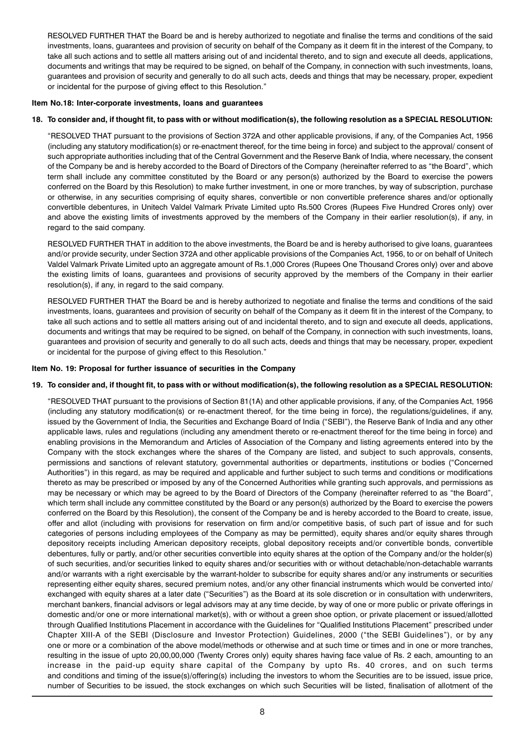RESOLVED FURTHER THAT the Board be and is hereby authorized to negotiate and finalise the terms and conditions of the said investments, loans, guarantees and provision of security on behalf of the Company as it deem fit in the interest of the Company, to take all such actions and to settle all matters arising out of and incidental thereto, and to sign and execute all deeds, applications, documents and writings that may be required to be signed, on behalf of the Company, in connection with such investments, loans, guarantees and provision of security and generally to do all such acts, deeds and things that may be necessary, proper, expedient or incidental for the purpose of giving effect to this Resolution."

## Item No.18: Inter-corporate investments, loans and guarantees

## 18. To consider and, if thought fit, to pass with or without modification(s), the following resolution as a SPECIAL RESOLUTION:

"RESOLVED THAT pursuant to the provisions of Section 372A and other applicable provisions, if any, of the Companies Act, 1956 (including any statutory modification(s) or re-enactment thereof, for the time being in force) and subject to the approval/ consent of such appropriate authorities including that of the Central Government and the Reserve Bank of India, where necessary, the consent of the Company be and is hereby accorded to the Board of Directors of the Company (hereinafter referred to as "the Board", which term shall include any committee constituted by the Board or any person(s) authorized by the Board to exercise the powers conferred on the Board by this Resolution) to make further investment, in one or more tranches, by way of subscription, purchase or otherwise, in any securities comprising of equity shares, convertible or non convertible preference shares and/or optionally convertible debentures, in Unitech Valdel Valmark Private Limited upto Rs.500 Crores (Rupees Five Hundred Crores only) over and above the existing limits of investments approved by the members of the Company in their earlier resolution(s), if any, in regard to the said company.

RESOLVED FURTHER THAT in addition to the above investments, the Board be and is hereby authorised to give loans, guarantees and/or provide security, under Section 372A and other applicable provisions of the Companies Act, 1956, to or on behalf of Unitech Valdel Valmark Private Limited upto an aggregate amount of Rs.1,000 Crores (Rupees One Thousand Crores only) over and above the existing limits of loans, guarantees and provisions of security approved by the members of the Company in their earlier resolution(s), if any, in regard to the said company.

RESOLVED FURTHER THAT the Board be and is hereby authorized to negotiate and finalise the terms and conditions of the said investments, loans, guarantees and provision of security on behalf of the Company as it deem fit in the interest of the Company, to take all such actions and to settle all matters arising out of and incidental thereto, and to sign and execute all deeds, applications, documents and writings that may be required to be signed, on behalf of the Company, in connection with such investments, loans, guarantees and provision of security and generally to do all such acts, deeds and things that may be necessary, proper, expedient or incidental for the purpose of giving effect to this Resolution."

## Item No. 19: Proposal for further issuance of securities in the Company

## 19. To consider and, if thought fit, to pass with or without modification(s), the following resolution as a SPECIAL RESOLUTION:

"RESOLVED THAT pursuant to the provisions of Section 81(1A) and other applicable provisions, if any, of the Companies Act, 1956 (including any statutory modification(s) or re-enactment thereof, for the time being in force), the regulations/guidelines, if any, issued by the Government of India, the Securities and Exchange Board of India ("SEBI"), the Reserve Bank of India and any other applicable laws, rules and regulations (including any amendment thereto or re-enactment thereof for the time being in force) and enabling provisions in the Memorandum and Articles of Association of the Company and listing agreements entered into by the Company with the stock exchanges where the shares of the Company are listed, and subject to such approvals, consents, permissions and sanctions of relevant statutory, governmental authorities or departments, institutions or bodies ("Concerned Authorities") in this regard, as may be required and applicable and further subject to such terms and conditions or modifications thereto as may be prescribed or imposed by any of the Concerned Authorities while granting such approvals, and permissions as may be necessary or which may be agreed to by the Board of Directors of the Company (hereinafter referred to as "the Board", which term shall include any committee constituted by the Board or any person(s) authorized by the Board to exercise the powers conferred on the Board by this Resolution), the consent of the Company be and is hereby accorded to the Board to create, issue, offer and allot (including with provisions for reservation on firm and/or competitive basis, of such part of issue and for such categories of persons including employees of the Company as may be permitted), equity shares and/or equity shares through depository receipts including American depository receipts, global depository receipts and/or convertible bonds, convertible debentures, fully or partly, and/or other securities convertible into equity shares at the option of the Company and/or the holder(s) of such securities, and/or securities linked to equity shares and/or securities with or without detachable/non-detachable warrants and/or warrants with a right exercisable by the warrant-holder to subscribe for equity shares and/or any instruments or securities representing either equity shares, secured premium notes, and/or any other financial instruments which would be converted into/ exchanged with equity shares at a later date ("Securities") as the Board at its sole discretion or in consultation with underwriters, merchant bankers, financial advisors or legal advisors may at any time decide, by way of one or more public or private offerings in domestic and/or one or more international market(s), with or without a green shoe option, or private placement or issued/allotted through Qualified Institutions Placement in accordance with the Guidelines for "Qualified Institutions Placement" prescribed under Chapter XIII-A of the SEBI (Disclosure and Investor Protection) Guidelines, 2000 ("the SEBI Guidelines"), or by any one or more or a combination of the above model/methods or otherwise and at such time or times and in one or more tranches, resulting in the issue of upto 20,00,00,000 (Twenty Crores only) equity shares having face value of Rs. 2 each, amounting to an increase in the paid-up equity share capital of the Company by upto Rs. 40 crores, and on such terms and conditions and timing of the issue(s)/offering(s) including the investors to whom the Securities are to be issued, issue price, number of Securities to be issued, the stock exchanges on which such Securities will be listed, finalisation of allotment of the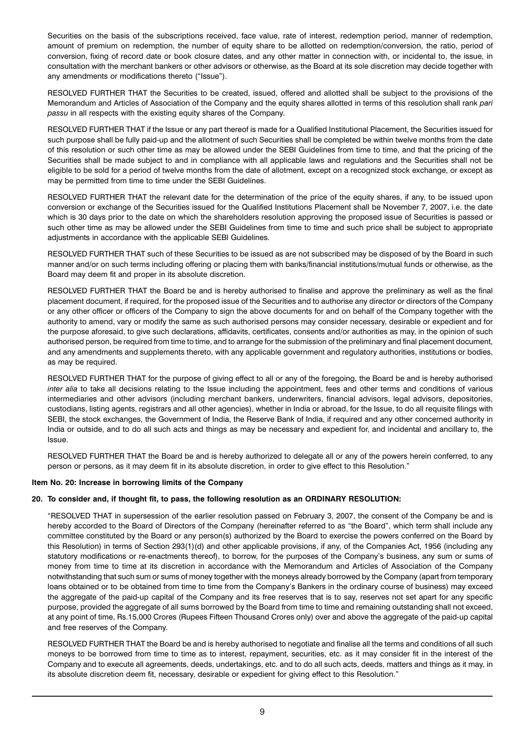Securities on the basis of the subscriptions received, face value, rate of interest, redemption period, manner of redemption, amount of premium on redemption, the number of equity share to be allotted on redemption/conversion, the ratio, period of conversion, fixing of record date or book closure dates, and any other matter in connection with, or incidental to, the issue, in consultation with the merchant bankers or other advisors or otherwise, as the Board at its sole discretion may decide together with any amendments or modifications thereto ("Issue").

RESOLVED FURTHER THAT the Securities to be created, issued, offered and allotted shall be subject to the provisions of the Memorandum and Articles of Association of the Company and the equity shares allotted in terms of this resolution shall rank pari passu in all respects with the existing equity shares of the Company.

RESOLVED FURTHER THAT if the Issue or any part thereof is made for a Qualified Institutional Placement, the Securities issued for such purpose shall be fully paid-up and the allotment of such Securities shall be completed be within twelve months from the date of this resolution or such other time as may be allowed under the SEBI Guidelines from time to time, and that the pricing of the Securities shall be made subject to and in compliance with all applicable laws and regulations and the Securities shall not be eligible to be sold for a period of twelve months from the date of allotment, except on a recognized stock exchange, or except as may be permitted from time to time under the SEBI Guidelines.

RESOLVED FURTHER THAT the relevant date for the determination of the price of the equity shares, if any, to be issued upon conversion or exchange of the Securities issued for the Qualified Institutions Placement shall be November 7, 2007, i.e. the date which is 30 days prior to the date on which the shareholders resolution approving the proposed issue of Securities is passed or such other time as may be allowed under the SEBI Guidelines from time to time and such price shall be subject to appropriate adjustments in accordance with the applicable SEBI Guidelines.

RESOLVED FURTHER THAT such of these Securities to be issued as are not subscribed may be disposed of by the Board in such manner and/or on such terms including offering or placing them with banks/financial institutions/mutual funds or otherwise, as the Board may deem fit and proper in its absolute discretion.

RESOLVED FURTHER THAT the Board be and is hereby authorised to finalise and approve the preliminary as well as the final placement document, if required, for the proposed issue of the Securities and to authorise any director or directors of the Company or any other officer or officers of the Company to sign the above documents for and on behalf of the Company together with the authority to amend, vary or modify the same as such authorised persons may consider necessary, desirable or expedient and for the purpose aforesaid, to give such declarations, affidavits, certificates, consents and/or authorities as may, in the opinion of such authorised person, be required from time to time, and to arrange for the submission of the preliminary and final placement document, and any amendments and supplements thereto, with any applicable government and regulatory authorities, institutions or bodies, as may be required.

RESOLVED FURTHER THAT for the purpose of giving effect to all or any of the foregoing, the Board be and is hereby authorised inter alia to take all decisions relating to the Issue including the appointment, fees and other terms and conditions of various intermediaries and other advisors (including merchant bankers, underwriters, financial advisors, legal advisors, depositories, custodians, listing agents, registrars and all other agencies), whether in India or abroad, for the Issue, to do all requisite filings with SEBI, the stock exchanges, the Government of India, the Reserve Bank of India, if required and any other concerned authority in India or outside, and to do all such acts and things as may be necessary and expedient for, and incidental and ancillary to, the Issue.

RESOLVED FURTHER THAT the Board be and is hereby authorized to delegate all or any of the powers herein conferred, to any person or persons, as it may deem fit in its absolute discretion, in order to give effect to this Resolution."

## Item No. 20: Increase in borrowing limits of the Company

## 20. To consider and, if thought fit, to pass, the following resolution as an ORDINARY RESOLUTION:

"RESOLVED THAT in supersession of the earlier resolution passed on February 3, 2007, the consent of the Company be and is hereby accorded to the Board of Directors of the Company (hereinafter referred to as "the Board", which term shall include any committee constituted by the Board or any person(s) authorized by the Board to exercise the powers conferred on the Board by this Resolution) in terms of Section 293(1)(d) and other applicable provisions, if any, of the Companies Act, 1956 (including any statutory modifications or re-enactments thereof), to borrow, for the purposes of the Company's business, any sum or sums of money from time to time at its discretion in accordance with the Memorandum and Articles of Association of the Company notwithstanding that such sum or sums of money together with the moneys already borrowed by the Company (apart from temporary loans obtained or to be obtained from time to time from the Company's Bankers in the ordinary course of business) may exceed the aggregate of the paid-up capital of the Company and its free reserves that is to say, reserves not set apart for any specific purpose, provided the aggregate of all sums borrowed by the Board from time to time and remaining outstanding shall not exceed, at any point of time, Rs.15,000 Crores (Rupees Fifteen Thousand Crores only) over and above the aggregate of the paid-up capital and free reserves of the Company.

RESOLVED FURTHER THAT the Board be and is hereby authorised to negotiate and finalise all the terms and conditions of all such moneys to be borrowed from time to time as to interest, repayment, securities, etc. as it may consider fit in the interest of the Company and to execute all agreements, deeds, undertakings, etc. and to do all such acts, deeds, matters and things as it may, in its absolute discretion deem fit, necessary, desirable or expedient for giving effect to this Resolution."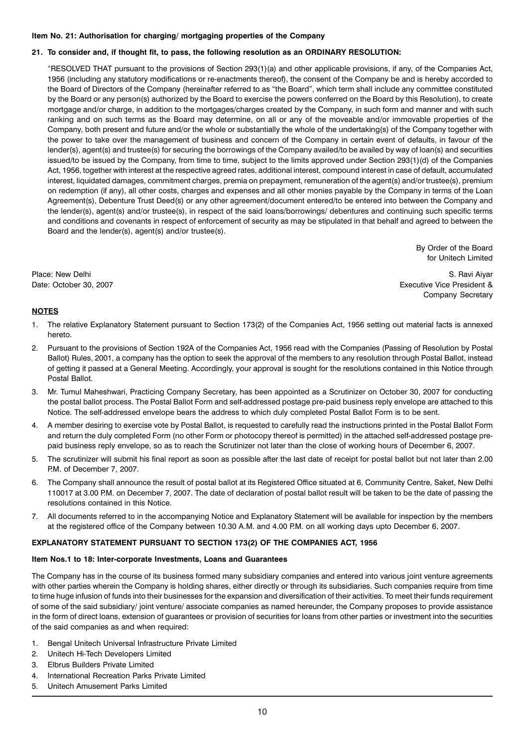## Item No. 21: Authorisation for charging/ mortgaging properties of the Company

## 21. To consider and, if thought fit, to pass, the following resolution as an ORDINARY RESOLUTION:

"RESOLVED THAT pursuant to the provisions of Section 293(1)(a) and other applicable provisions, if any, of the Companies Act, 1956 (including any statutory modifications or re-enactments thereof), the consent of the Company be and is hereby accorded to the Board of Directors of the Company (hereinafter referred to as "the Board", which term shall include any committee constituted by the Board or any person(s) authorized by the Board to exercise the powers conferred on the Board by this Resolution), to create mortgage and/or charge, in addition to the mortgages/charges created by the Company, in such form and manner and with such ranking and on such terms as the Board may determine, on all or any of the moveable and/or immovable properties of the Company, both present and future and/or the whole or substantially the whole of the undertaking(s) of the Company together with the power to take over the management of business and concern of the Company in certain event of defaults, in favour of the lender(s), agent(s) and trustee(s) for securing the borrowings of the Company availed/to be availed by way of loan(s) and securities issued/to be issued by the Company, from time to time, subject to the limits approved under Section 293(1)(d) of the Companies Act, 1956, together with interest at the respective agreed rates, additional interest, compound interest in case of default, accumulated interest, liquidated damages, commitment charges, premia on prepayment, remuneration of the agent(s) and/or trustee(s), premium on redemption (if any), all other costs, charges and expenses and all other monies payable by the Company in terms of the Loan Agreement(s), Debenture Trust Deed(s) or any other agreement/document entered/to be entered into between the Company and the lender(s), agent(s) and/or trustee(s), in respect of the said loans/borrowings/ debentures and continuing such specific terms and conditions and covenants in respect of enforcement of security as may be stipulated in that behalf and agreed to between the Board and the lender(s), agent(s) and/or trustee(s).

> By Order of the Board for Unitech Limited

Place: New Delhi S. Ravi Aiyar S. Ravi Aiyar S. Ravi Aiyar S. Ravi Aiyar S. Ravi Aiyar Date: October 30, 2007 Executive Vice President & Company Secretary

## **NOTES**

- 1. The relative Explanatory Statement pursuant to Section 173(2) of the Companies Act, 1956 setting out material facts is annexed hereto.
- 2. Pursuant to the provisions of Section 192A of the Companies Act, 1956 read with the Companies (Passing of Resolution by Postal Ballot) Rules, 2001, a company has the option to seek the approval of the members to any resolution through Postal Ballot, instead of getting it passed at a General Meeting. Accordingly, your approval is sought for the resolutions contained in this Notice through Postal Ballot.
- 3. Mr. Tumul Maheshwari, Practicing Company Secretary, has been appointed as a Scrutinizer on October 30, 2007 for conducting the postal ballot process. The Postal Ballot Form and self-addressed postage pre-paid business reply envelope are attached to this Notice. The self-addressed envelope bears the address to which duly completed Postal Ballot Form is to be sent.
- 4. A member desiring to exercise vote by Postal Ballot, is requested to carefully read the instructions printed in the Postal Ballot Form and return the duly completed Form (no other Form or photocopy thereof is permitted) in the attached self-addressed postage prepaid business reply envelope, so as to reach the Scrutinizer not later than the close of working hours of December 6, 2007.
- 5. The scrutinizer will submit his final report as soon as possible after the last date of receipt for postal ballot but not later than 2.00 P.M. of December 7, 2007.
- 6. The Company shall announce the result of postal ballot at its Registered Office situated at 6, Community Centre, Saket, New Delhi 110017 at 3.00 P.M. on December 7, 2007. The date of declaration of postal ballot result will be taken to be the date of passing the resolutions contained in this Notice.
- 7. All documents referred to in the accompanying Notice and Explanatory Statement will be available for inspection by the members at the registered office of the Company between 10.30 A.M. and 4.00 P.M. on all working days upto December 6, 2007.

## EXPLANATORY STATEMENT PURSUANT TO SECTION 173(2) OF THE COMPANIES ACT, 1956

## Item Nos.1 to 18: Inter-corporate Investments, Loans and Guarantees

The Company has in the course of its business formed many subsidiary companies and entered into various joint venture agreements with other parties wherein the Company is holding shares, either directly or through its subsidiaries. Such companies require from time to time huge infusion of funds into their businesses for the expansion and diversification of their activities. To meet their funds requirement of some of the said subsidiary/ joint venture/ associate companies as named hereunder, the Company proposes to provide assistance in the form of direct loans, extension of guarantees or provision of securities for loans from other parties or investment into the securities of the said companies as and when required:

- 1. Bengal Unitech Universal Infrastructure Private Limited
- 2. Unitech Hi-Tech Developers Limited
- 3. Elbrus Builders Private Limited
- 4. International Recreation Parks Private Limited
- 5. Unitech Amusement Parks Limited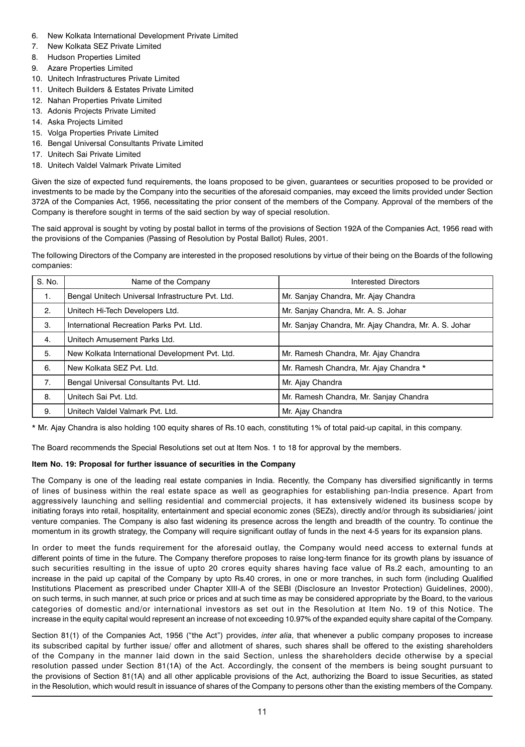- 6. New Kolkata International Development Private Limited
- 7. New Kolkata SEZ Private Limited
- 8. Hudson Properties Limited
- 9. Azare Properties Limited
- 10. Unitech Infrastructures Private Limited
- 11. Unitech Builders & Estates Private Limited
- 12. Nahan Properties Private Limited
- 13. Adonis Projects Private Limited
- 14. Aska Projects Limited
- 15. Volga Properties Private Limited
- 16. Bengal Universal Consultants Private Limited
- 17. Unitech Sai Private Limited
- 18. Unitech Valdel Valmark Private Limited

Given the size of expected fund requirements, the loans proposed to be given, guarantees or securities proposed to be provided or investments to be made by the Company into the securities of the aforesaid companies, may exceed the limits provided under Section 372A of the Companies Act, 1956, necessitating the prior consent of the members of the Company. Approval of the members of the Company is therefore sought in terms of the said section by way of special resolution.

The said approval is sought by voting by postal ballot in terms of the provisions of Section 192A of the Companies Act, 1956 read with the provisions of the Companies (Passing of Resolution by Postal Ballot) Rules, 2001.

The following Directors of the Company are interested in the proposed resolutions by virtue of their being on the Boards of the following companies:

| S. No. | Name of the Company                               | Interested Directors                                  |
|--------|---------------------------------------------------|-------------------------------------------------------|
| 1.     | Bengal Unitech Universal Infrastructure Pvt. Ltd. | Mr. Sanjay Chandra, Mr. Ajay Chandra                  |
| 2.     | Unitech Hi-Tech Developers Ltd.                   | Mr. Sanjay Chandra, Mr. A. S. Johar                   |
| 3.     | International Recreation Parks Pvt. Ltd.          | Mr. Sanjay Chandra, Mr. Ajay Chandra, Mr. A. S. Johar |
| 4.     | Unitech Amusement Parks Ltd.                      |                                                       |
| 5.     | New Kolkata International Development Pvt. Ltd.   | Mr. Ramesh Chandra, Mr. Ajay Chandra                  |
| 6.     | New Kolkata SEZ Pvt. Ltd.                         | Mr. Ramesh Chandra, Mr. Ajay Chandra *                |
| 7.     | Bengal Universal Consultants Pvt. Ltd.            | Mr. Ajay Chandra                                      |
| 8.     | Unitech Sai Pvt. Ltd.                             | Mr. Ramesh Chandra, Mr. Sanjay Chandra                |
| 9.     | Unitech Valdel Valmark Pvt. Ltd.                  | Mr. Ajay Chandra                                      |

\* Mr. Ajay Chandra is also holding 100 equity shares of Rs.10 each, constituting 1% of total paid-up capital, in this company.

The Board recommends the Special Resolutions set out at Item Nos. 1 to 18 for approval by the members.

## Item No. 19: Proposal for further issuance of securities in the Company

The Company is one of the leading real estate companies in India. Recently, the Company has diversified significantly in terms of lines of business within the real estate space as well as geographies for establishing pan-India presence. Apart from aggressively launching and selling residential and commercial projects, it has extensively widened its business scope by initiating forays into retail, hospitality, entertainment and special economic zones (SEZs), directly and/or through its subsidiaries/ joint venture companies. The Company is also fast widening its presence across the length and breadth of the country. To continue the momentum in its growth strategy, the Company will require significant outlay of funds in the next 4-5 years for its expansion plans.

In order to meet the funds requirement for the aforesaid outlay, the Company would need access to external funds at different points of time in the future. The Company therefore proposes to raise long-term finance for its growth plans by issuance of such securities resulting in the issue of upto 20 crores equity shares having face value of Rs.2 each, amounting to an increase in the paid up capital of the Company by upto Rs.40 crores, in one or more tranches, in such form (including Qualified Institutions Placement as prescribed under Chapter XIII-A of the SEBI (Disclosure an Investor Protection) Guidelines, 2000), on such terms, in such manner, at such price or prices and at such time as may be considered appropriate by the Board, to the various categories of domestic and/or international investors as set out in the Resolution at Item No. 19 of this Notice. The increase in the equity capital would represent an increase of not exceeding 10.97% of the expanded equity share capital of the Company.

Section 81(1) of the Companies Act, 1956 ("the Act") provides, inter alia, that whenever a public company proposes to increase its subscribed capital by further issue/ offer and allotment of shares, such shares shall be offered to the existing shareholders of the Company in the manner laid down in the said Section, unless the shareholders decide otherwise by a special resolution passed under Section 81(1A) of the Act. Accordingly, the consent of the members is being sought pursuant to the provisions of Section 81(1A) and all other applicable provisions of the Act, authorizing the Board to issue Securities, as stated in the Resolution, which would result in issuance of shares of the Company to persons other than the existing members of the Company.